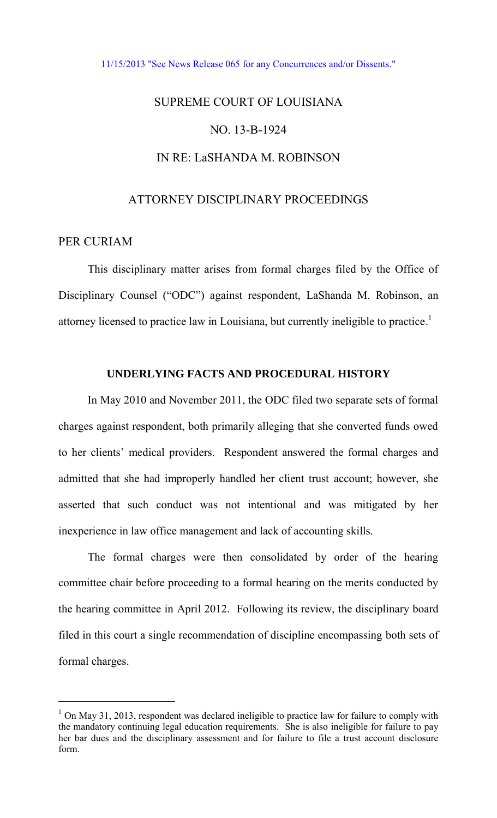#### [11/15/2013 "See News Release 065 for any Concurrences and/or Dissents."](http://www.lasc.org/Actions?p=2013-065)

# SUPREME COURT OF LOUISIANA NO. 13-B-1924 IN RE: LaSHANDA M. ROBINSON

## ATTORNEY DISCIPLINARY PROCEEDINGS

## PER CURIAM

 $\overline{a}$ 

 This disciplinary matter arises from formal charges filed by the Office of Disciplinary Counsel ("ODC") against respondent, LaShanda M. Robinson, an attorney licensed to practice law in Louisiana, but currently ineligible to practice.<sup>1</sup>

# **UNDERLYING FACTS AND PROCEDURAL HISTORY**

In May 2010 and November 2011, the ODC filed two separate sets of formal charges against respondent, both primarily alleging that she converted funds owed to her clients' medical providers. Respondent answered the formal charges and admitted that she had improperly handled her client trust account; however, she asserted that such conduct was not intentional and was mitigated by her inexperience in law office management and lack of accounting skills.

The formal charges were then consolidated by order of the hearing committee chair before proceeding to a formal hearing on the merits conducted by the hearing committee in April 2012. Following its review, the disciplinary board filed in this court a single recommendation of discipline encompassing both sets of formal charges.

<sup>&</sup>lt;sup>1</sup> On May 31, 2013, respondent was declared ineligible to practice law for failure to comply with the mandatory continuing legal education requirements. She is also ineligible for failure to pay her bar dues and the disciplinary assessment and for failure to file a trust account disclosure form.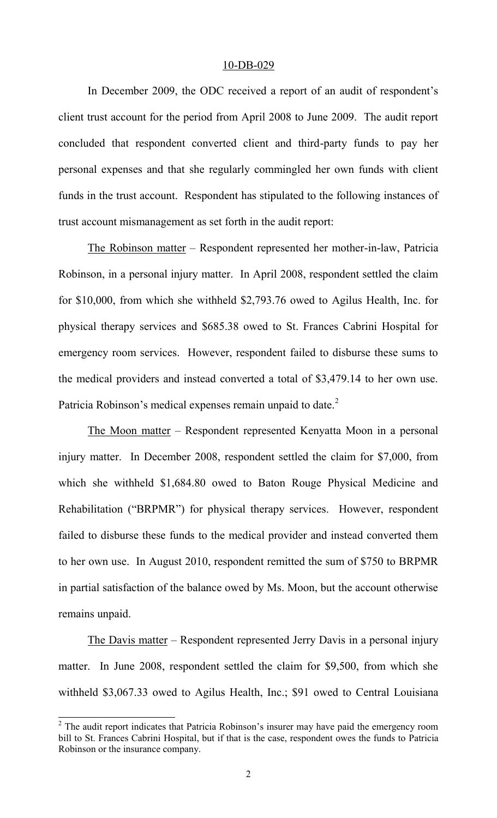#### 10-DB-029

In December 2009, the ODC received a report of an audit of respondent's client trust account for the period from April 2008 to June 2009. The audit report concluded that respondent converted client and third-party funds to pay her personal expenses and that she regularly commingled her own funds with client funds in the trust account. Respondent has stipulated to the following instances of trust account mismanagement as set forth in the audit report:

The Robinson matter – Respondent represented her mother-in-law, Patricia Robinson, in a personal injury matter. In April 2008, respondent settled the claim for \$10,000, from which she withheld \$2,793.76 owed to Agilus Health, Inc. for physical therapy services and \$685.38 owed to St. Frances Cabrini Hospital for emergency room services. However, respondent failed to disburse these sums to the medical providers and instead converted a total of \$3,479.14 to her own use. Patricia Robinson's medical expenses remain unpaid to date.<sup>2</sup>

 The Moon matter – Respondent represented Kenyatta Moon in a personal injury matter. In December 2008, respondent settled the claim for \$7,000, from which she withheld \$1,684.80 owed to Baton Rouge Physical Medicine and Rehabilitation ("BRPMR") for physical therapy services. However, respondent failed to disburse these funds to the medical provider and instead converted them to her own use. In August 2010, respondent remitted the sum of \$750 to BRPMR in partial satisfaction of the balance owed by Ms. Moon, but the account otherwise remains unpaid.

The Davis matter – Respondent represented Jerry Davis in a personal injury matter. In June 2008, respondent settled the claim for \$9,500, from which she withheld \$3,067.33 owed to Agilus Health, Inc.; \$91 owed to Central Louisiana

<sup>&</sup>lt;sup>2</sup> The audit report indicates that Patricia Robinson's insurer may have paid the emergency room bill to St. Frances Cabrini Hospital, but if that is the case, respondent owes the funds to Patricia Robinson or the insurance company.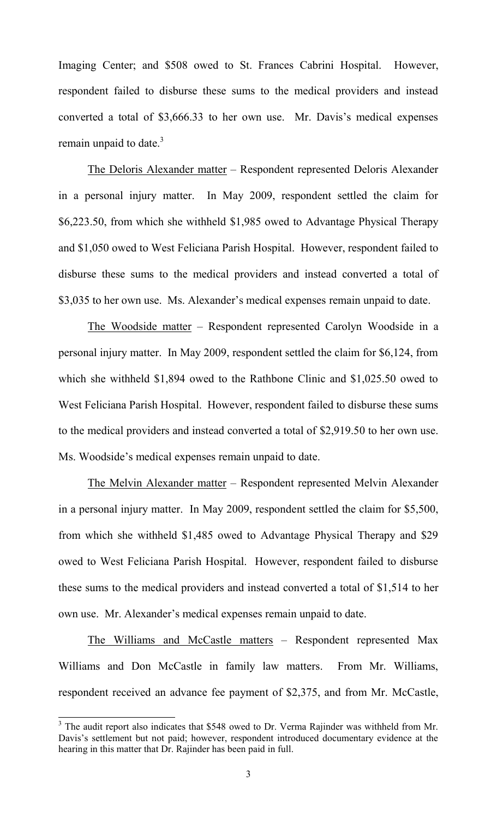Imaging Center; and \$508 owed to St. Frances Cabrini Hospital. However, respondent failed to disburse these sums to the medical providers and instead converted a total of \$3,666.33 to her own use. Mr. Davis's medical expenses remain unpaid to date. $3$ 

The Deloris Alexander matter – Respondent represented Deloris Alexander in a personal injury matter. In May 2009, respondent settled the claim for \$6,223.50, from which she withheld \$1,985 owed to Advantage Physical Therapy and \$1,050 owed to West Feliciana Parish Hospital. However, respondent failed to disburse these sums to the medical providers and instead converted a total of \$3,035 to her own use. Ms. Alexander's medical expenses remain unpaid to date.

The Woodside matter – Respondent represented Carolyn Woodside in a personal injury matter. In May 2009, respondent settled the claim for \$6,124, from which she withheld \$1,894 owed to the Rathbone Clinic and \$1,025.50 owed to West Feliciana Parish Hospital. However, respondent failed to disburse these sums to the medical providers and instead converted a total of \$2,919.50 to her own use. Ms. Woodside's medical expenses remain unpaid to date.

The Melvin Alexander matter – Respondent represented Melvin Alexander in a personal injury matter. In May 2009, respondent settled the claim for \$5,500, from which she withheld \$1,485 owed to Advantage Physical Therapy and \$29 owed to West Feliciana Parish Hospital. However, respondent failed to disburse these sums to the medical providers and instead converted a total of \$1,514 to her own use. Mr. Alexander's medical expenses remain unpaid to date.

The Williams and McCastle matters – Respondent represented Max Williams and Don McCastle in family law matters. From Mr. Williams, respondent received an advance fee payment of \$2,375, and from Mr. McCastle,

<sup>&</sup>lt;sup>3</sup> The audit report also indicates that \$548 owed to Dr. Verma Rajinder was withheld from Mr. Davis's settlement but not paid; however, respondent introduced documentary evidence at the hearing in this matter that Dr. Rajinder has been paid in full.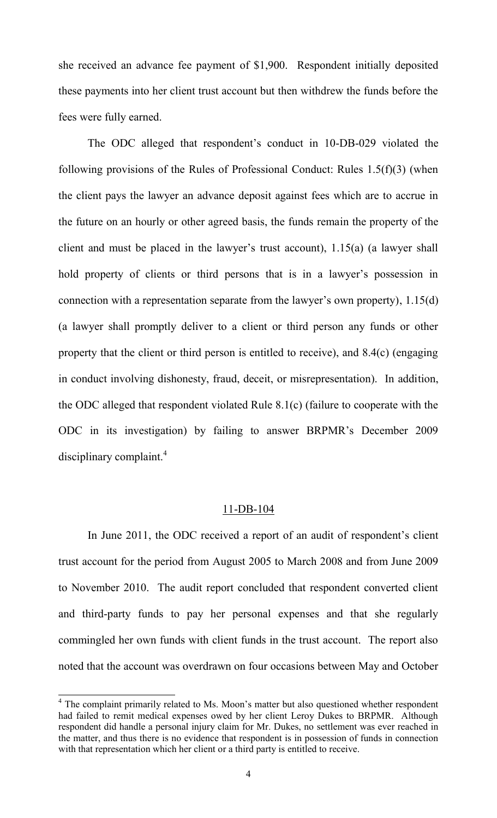she received an advance fee payment of \$1,900. Respondent initially deposited these payments into her client trust account but then withdrew the funds before the fees were fully earned.

The ODC alleged that respondent's conduct in 10-DB-029 violated the following provisions of the Rules of Professional Conduct: Rules 1.5(f)(3) (when the client pays the lawyer an advance deposit against fees which are to accrue in the future on an hourly or other agreed basis, the funds remain the property of the client and must be placed in the lawyer's trust account), 1.15(a) (a lawyer shall hold property of clients or third persons that is in a lawyer's possession in connection with a representation separate from the lawyer's own property), 1.15(d) (a lawyer shall promptly deliver to a client or third person any funds or other property that the client or third person is entitled to receive), and 8.4(c) (engaging in conduct involving dishonesty, fraud, deceit, or misrepresentation). In addition, the ODC alleged that respondent violated Rule 8.1(c) (failure to cooperate with the ODC in its investigation) by failing to answer BRPMR's December 2009 disciplinary complaint.<sup>4</sup>

## 11-DB-104

In June 2011, the ODC received a report of an audit of respondent's client trust account for the period from August 2005 to March 2008 and from June 2009 to November 2010. The audit report concluded that respondent converted client and third-party funds to pay her personal expenses and that she regularly commingled her own funds with client funds in the trust account. The report also noted that the account was overdrawn on four occasions between May and October

<sup>&</sup>lt;sup>4</sup> The complaint primarily related to Ms. Moon's matter but also questioned whether respondent had failed to remit medical expenses owed by her client Leroy Dukes to BRPMR. Although respondent did handle a personal injury claim for Mr. Dukes, no settlement was ever reached in the matter, and thus there is no evidence that respondent is in possession of funds in connection with that representation which her client or a third party is entitled to receive.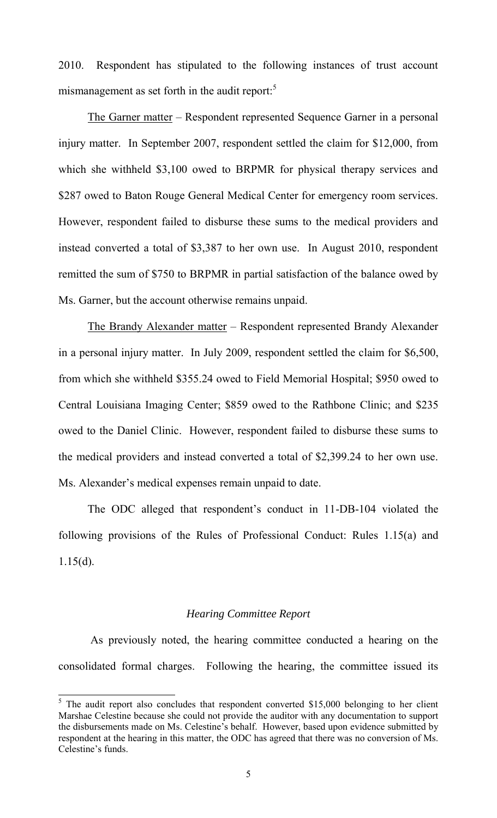2010. Respondent has stipulated to the following instances of trust account mismanagement as set forth in the audit report:<sup>5</sup>

The Garner matter – Respondent represented Sequence Garner in a personal injury matter. In September 2007, respondent settled the claim for \$12,000, from which she withheld \$3,100 owed to BRPMR for physical therapy services and \$287 owed to Baton Rouge General Medical Center for emergency room services. However, respondent failed to disburse these sums to the medical providers and instead converted a total of \$3,387 to her own use. In August 2010, respondent remitted the sum of \$750 to BRPMR in partial satisfaction of the balance owed by Ms. Garner, but the account otherwise remains unpaid.

The Brandy Alexander matter – Respondent represented Brandy Alexander in a personal injury matter. In July 2009, respondent settled the claim for \$6,500, from which she withheld \$355.24 owed to Field Memorial Hospital; \$950 owed to Central Louisiana Imaging Center; \$859 owed to the Rathbone Clinic; and \$235 owed to the Daniel Clinic. However, respondent failed to disburse these sums to the medical providers and instead converted a total of \$2,399.24 to her own use. Ms. Alexander's medical expenses remain unpaid to date.

The ODC alleged that respondent's conduct in 11-DB-104 violated the following provisions of the Rules of Professional Conduct: Rules 1.15(a) and  $1.15(d)$ .

#### *Hearing Committee Report*

 As previously noted, the hearing committee conducted a hearing on the consolidated formal charges. Following the hearing, the committee issued its

<sup>&</sup>lt;sup>5</sup> The audit report also concludes that respondent converted \$15,000 belonging to her client Marshae Celestine because she could not provide the auditor with any documentation to support the disbursements made on Ms. Celestine's behalf. However, based upon evidence submitted by respondent at the hearing in this matter, the ODC has agreed that there was no conversion of Ms. Celestine's funds.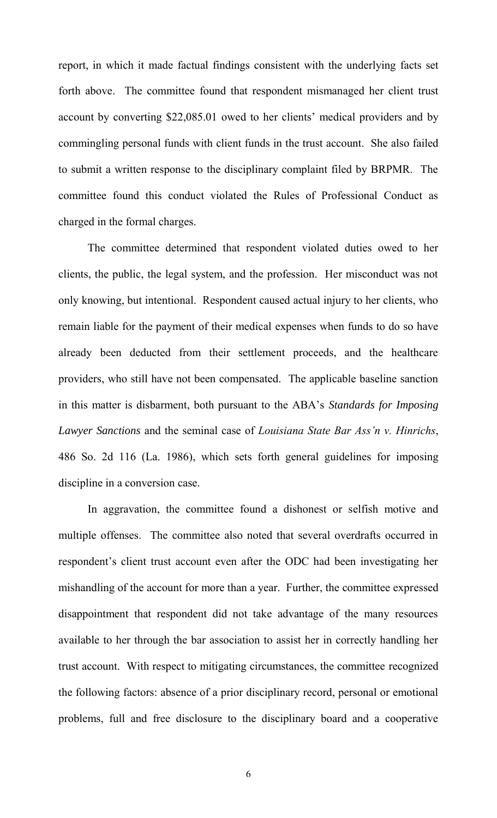report, in which it made factual findings consistent with the underlying facts set forth above. The committee found that respondent mismanaged her client trust account by converting \$22,085.01 owed to her clients' medical providers and by commingling personal funds with client funds in the trust account. She also failed to submit a written response to the disciplinary complaint filed by BRPMR. The committee found this conduct violated the Rules of Professional Conduct as charged in the formal charges.

The committee determined that respondent violated duties owed to her clients, the public, the legal system, and the profession. Her misconduct was not only knowing, but intentional. Respondent caused actual injury to her clients, who remain liable for the payment of their medical expenses when funds to do so have already been deducted from their settlement proceeds, and the healthcare providers, who still have not been compensated. The applicable baseline sanction in this matter is disbarment, both pursuant to the ABA's *Standards for Imposing Lawyer Sanctions* and the seminal case of *Louisiana State Bar Ass'n v. Hinrichs*, 486 So. 2d 116 (La. 1986), which sets forth general guidelines for imposing discipline in a conversion case.

 In aggravation, the committee found a dishonest or selfish motive and multiple offenses. The committee also noted that several overdrafts occurred in respondent's client trust account even after the ODC had been investigating her mishandling of the account for more than a year. Further, the committee expressed disappointment that respondent did not take advantage of the many resources available to her through the bar association to assist her in correctly handling her trust account. With respect to mitigating circumstances, the committee recognized the following factors: absence of a prior disciplinary record, personal or emotional problems, full and free disclosure to the disciplinary board and a cooperative

6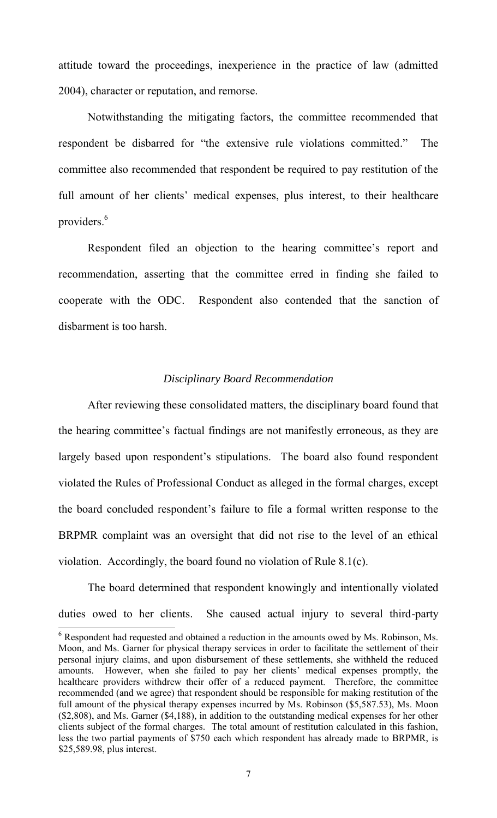attitude toward the proceedings, inexperience in the practice of law (admitted 2004), character or reputation, and remorse.

 Notwithstanding the mitigating factors, the committee recommended that respondent be disbarred for "the extensive rule violations committed." The committee also recommended that respondent be required to pay restitution of the full amount of her clients' medical expenses, plus interest, to their healthcare providers.<sup>6</sup>

 Respondent filed an objection to the hearing committee's report and recommendation, asserting that the committee erred in finding she failed to cooperate with the ODC. Respondent also contended that the sanction of disbarment is too harsh.

### *Disciplinary Board Recommendation*

 After reviewing these consolidated matters, the disciplinary board found that the hearing committee's factual findings are not manifestly erroneous, as they are largely based upon respondent's stipulations. The board also found respondent violated the Rules of Professional Conduct as alleged in the formal charges, except the board concluded respondent's failure to file a formal written response to the BRPMR complaint was an oversight that did not rise to the level of an ethical violation. Accordingly, the board found no violation of Rule 8.1(c).

 The board determined that respondent knowingly and intentionally violated duties owed to her clients. She caused actual injury to several third-party

<sup>&</sup>lt;sup>6</sup> Respondent had requested and obtained a reduction in the amounts owed by Ms. Robinson, Ms. Moon, and Ms. Garner for physical therapy services in order to facilitate the settlement of their personal injury claims, and upon disbursement of these settlements, she withheld the reduced amounts. However, when she failed to pay her clients' medical expenses promptly, the healthcare providers withdrew their offer of a reduced payment. Therefore, the committee recommended (and we agree) that respondent should be responsible for making restitution of the full amount of the physical therapy expenses incurred by Ms. Robinson (\$5,587.53), Ms. Moon (\$2,808), and Ms. Garner (\$4,188), in addition to the outstanding medical expenses for her other clients subject of the formal charges. The total amount of restitution calculated in this fashion, less the two partial payments of \$750 each which respondent has already made to BRPMR, is \$25,589.98, plus interest.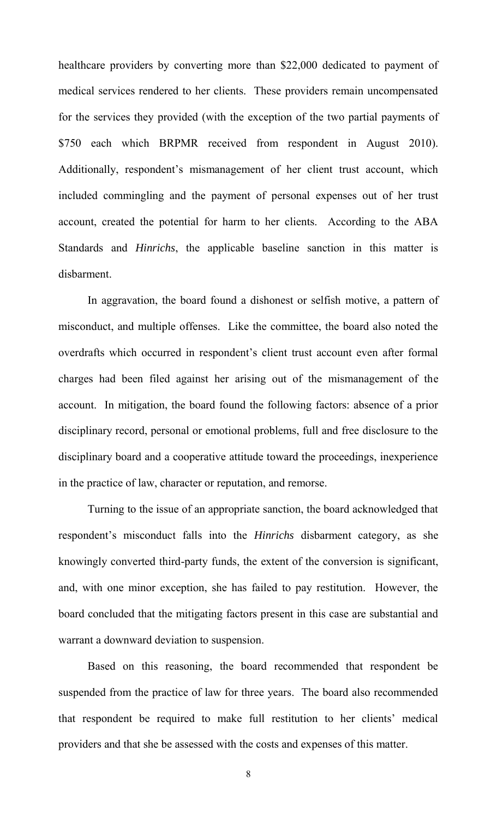healthcare providers by converting more than \$22,000 dedicated to payment of medical services rendered to her clients. These providers remain uncompensated for the services they provided (with the exception of the two partial payments of \$750 each which BRPMR received from respondent in August 2010). Additionally, respondent's mismanagement of her client trust account, which included commingling and the payment of personal expenses out of her trust account, created the potential for harm to her clients. According to the ABA Standards and *Hinrichs*, the applicable baseline sanction in this matter is disbarment.

In aggravation, the board found a dishonest or selfish motive, a pattern of misconduct, and multiple offenses. Like the committee, the board also noted the overdrafts which occurred in respondent's client trust account even after formal charges had been filed against her arising out of the mismanagement of the account. In mitigation, the board found the following factors: absence of a prior disciplinary record, personal or emotional problems, full and free disclosure to the disciplinary board and a cooperative attitude toward the proceedings, inexperience in the practice of law, character or reputation, and remorse.

 Turning to the issue of an appropriate sanction, the board acknowledged that respondent's misconduct falls into the *Hinrichs* disbarment category, as she knowingly converted third-party funds, the extent of the conversion is significant, and, with one minor exception, she has failed to pay restitution. However, the board concluded that the mitigating factors present in this case are substantial and warrant a downward deviation to suspension.

Based on this reasoning, the board recommended that respondent be suspended from the practice of law for three years. The board also recommended that respondent be required to make full restitution to her clients' medical providers and that she be assessed with the costs and expenses of this matter.

8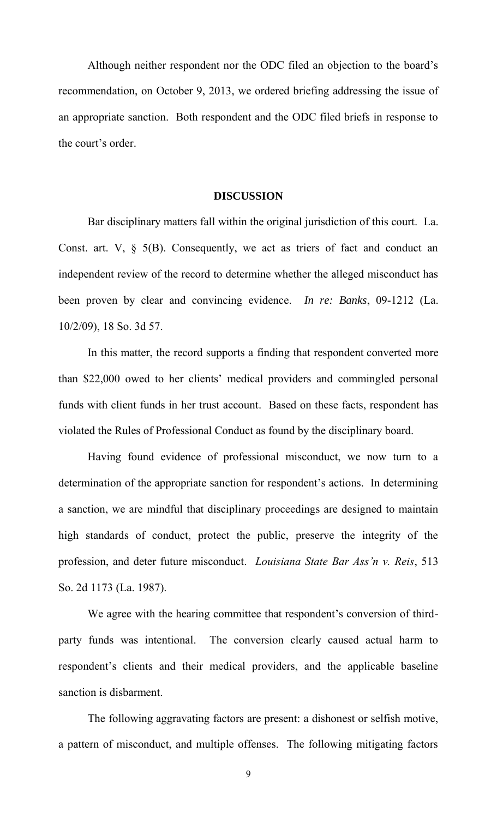Although neither respondent nor the ODC filed an objection to the board's recommendation, on October 9, 2013, we ordered briefing addressing the issue of an appropriate sanction. Both respondent and the ODC filed briefs in response to the court's order.

#### **DISCUSSION**

Bar disciplinary matters fall within the original jurisdiction of this court. La. Const. art. V,  $\S$  5(B). Consequently, we act as triers of fact and conduct an independent review of the record to determine whether the alleged misconduct has been proven by clear and convincing evidence. *In re: Banks*, 09-1212 (La. 10/2/09), 18 So. 3d 57.

 In this matter, the record supports a finding that respondent converted more than \$22,000 owed to her clients' medical providers and commingled personal funds with client funds in her trust account. Based on these facts, respondent has violated the Rules of Professional Conduct as found by the disciplinary board.

Having found evidence of professional misconduct, we now turn to a determination of the appropriate sanction for respondent's actions. In determining a sanction, we are mindful that disciplinary proceedings are designed to maintain high standards of conduct, protect the public, preserve the integrity of the profession, and deter future misconduct. *Louisiana State Bar Ass'n v. Reis*, 513 So. 2d 1173 (La. 1987).

We agree with the hearing committee that respondent's conversion of thirdparty funds was intentional. The conversion clearly caused actual harm to respondent's clients and their medical providers, and the applicable baseline sanction is disbarment.

The following aggravating factors are present: a dishonest or selfish motive, a pattern of misconduct, and multiple offenses. The following mitigating factors

9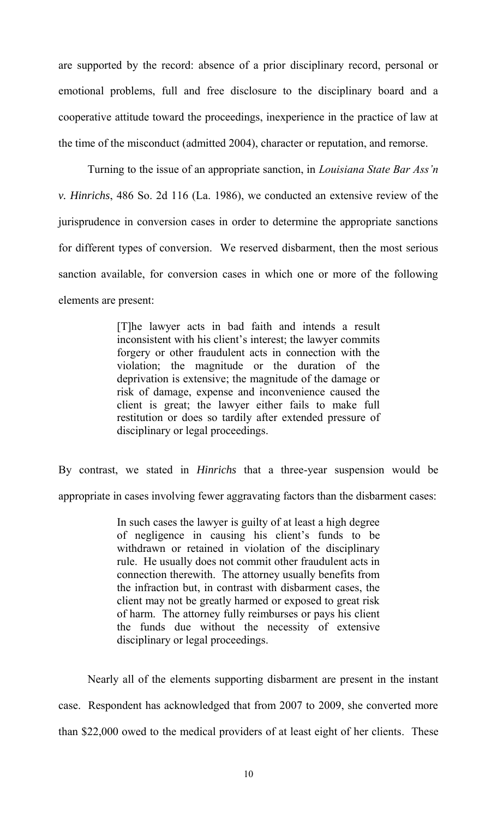are supported by the record: absence of a prior disciplinary record, personal or emotional problems, full and free disclosure to the disciplinary board and a cooperative attitude toward the proceedings, inexperience in the practice of law at the time of the misconduct (admitted 2004), character or reputation, and remorse.

 Turning to the issue of an appropriate sanction, in *Louisiana State Bar Ass'n v. Hinrichs*, 486 So. 2d 116 (La. 1986), we conducted an extensive review of the jurisprudence in conversion cases in order to determine the appropriate sanctions for different types of conversion. We reserved disbarment, then the most serious sanction available, for conversion cases in which one or more of the following elements are present:

> [T]he lawyer acts in bad faith and intends a result inconsistent with his client's interest; the lawyer commits forgery or other fraudulent acts in connection with the violation; the magnitude or the duration of the deprivation is extensive; the magnitude of the damage or risk of damage, expense and inconvenience caused the client is great; the lawyer either fails to make full restitution or does so tardily after extended pressure of disciplinary or legal proceedings.

By contrast, we stated in *Hinrichs* that a three-year suspension would be appropriate in cases involving fewer aggravating factors than the disbarment cases:

> In such cases the lawyer is guilty of at least a high degree of negligence in causing his client's funds to be withdrawn or retained in violation of the disciplinary rule. He usually does not commit other fraudulent acts in connection therewith. The attorney usually benefits from the infraction but, in contrast with disbarment cases, the client may not be greatly harmed or exposed to great risk of harm. The attorney fully reimburses or pays his client the funds due without the necessity of extensive disciplinary or legal proceedings.

Nearly all of the elements supporting disbarment are present in the instant case. Respondent has acknowledged that from 2007 to 2009, she converted more than \$22,000 owed to the medical providers of at least eight of her clients. These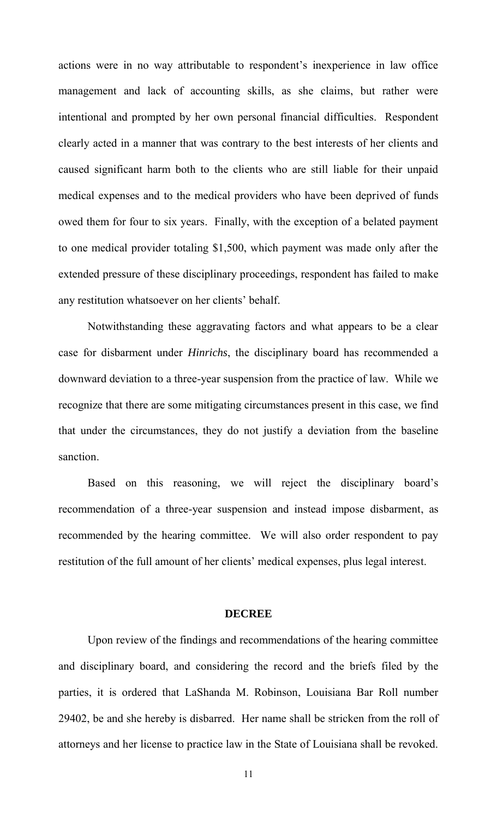actions were in no way attributable to respondent's inexperience in law office management and lack of accounting skills, as she claims, but rather were intentional and prompted by her own personal financial difficulties. Respondent clearly acted in a manner that was contrary to the best interests of her clients and caused significant harm both to the clients who are still liable for their unpaid medical expenses and to the medical providers who have been deprived of funds owed them for four to six years. Finally, with the exception of a belated payment to one medical provider totaling \$1,500, which payment was made only after the extended pressure of these disciplinary proceedings, respondent has failed to make any restitution whatsoever on her clients' behalf.

 Notwithstanding these aggravating factors and what appears to be a clear case for disbarment under *Hinrichs*, the disciplinary board has recommended a downward deviation to a three-year suspension from the practice of law. While we recognize that there are some mitigating circumstances present in this case, we find that under the circumstances, they do not justify a deviation from the baseline sanction.

Based on this reasoning, we will reject the disciplinary board's recommendation of a three-year suspension and instead impose disbarment, as recommended by the hearing committee. We will also order respondent to pay restitution of the full amount of her clients' medical expenses, plus legal interest.

#### **DECREE**

 Upon review of the findings and recommendations of the hearing committee and disciplinary board, and considering the record and the briefs filed by the parties, it is ordered that LaShanda M. Robinson, Louisiana Bar Roll number 29402, be and she hereby is disbarred. Her name shall be stricken from the roll of attorneys and her license to practice law in the State of Louisiana shall be revoked.